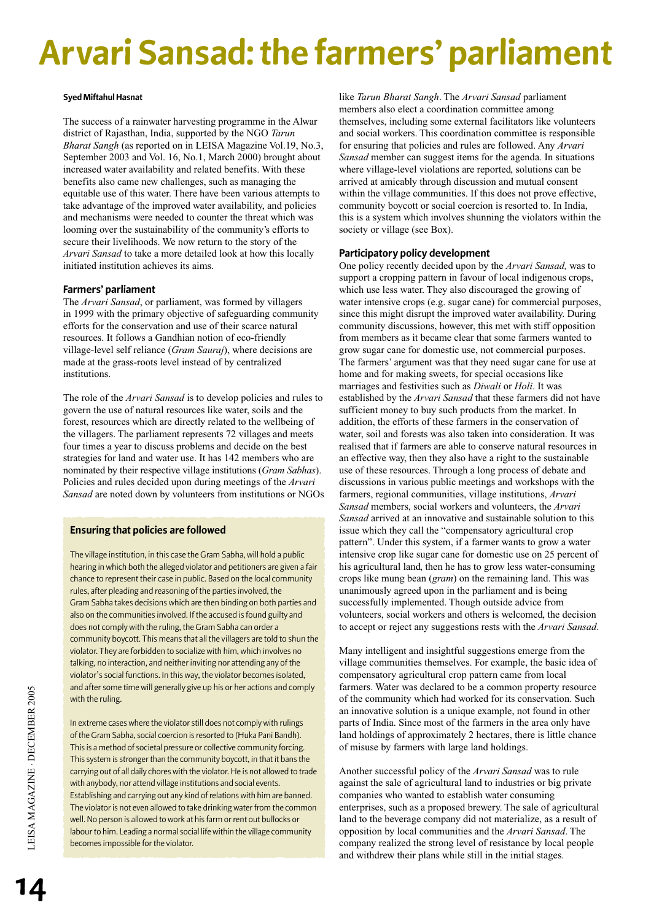# **Arvari Sansad: the farmers' parliament**

## **Syed Miftahul Hasnat**

The success of a rainwater harvesting programme in the Alwar district of Rajasthan, India, supported by the NGO *Tarun Bharat Sangh* (as reported on in LEISA Magazine Vol.19, No.3, September 2003 and Vol. 16, No.1, March 2000) brought about increased water availability and related benefits. With these benefits also came new challenges, such as managing the equitable use of this water. There have been various attempts to take advantage of the improved water availability, and policies and mechanisms were needed to counter the threat which was looming over the sustainability of the community's efforts to secure their livelihoods. We now return to the story of the *Arvari Sansad* to take a more detailed look at how this locally initiated institution achieves its aims.

## **Farmers' parliament**

The *Arvari Sansad*, or parliament, was formed by villagers in 1999 with the primary objective of safeguarding community efforts for the conservation and use of their scarce natural resources. It follows a Gandhian notion of eco-friendly village-level self reliance (*Gram Sauraj*), where decisions are made at the grass-roots level instead of by centralized institutions.

The role of the *Arvari Sansad* is to develop policies and rules to govern the use of natural resources like water, soils and the forest, resources which are directly related to the wellbeing of the villagers. The parliament represents 72 villages and meets four times a year to discuss problems and decide on the best strategies for land and water use. It has 142 members who are nominated by their respective village institutions (*Gram Sabhas*). Policies and rules decided upon during meetings of the *Arvari Sansad* are noted down by volunteers from institutions or NGOs

# **Ensuring that policies are followed**

The village institution, in this case the Gram Sabha, will hold a public hearing in which both the alleged violator and petitioners are given a fair chance to represent their case in public. Based on the local community rules, after pleading and reasoning of the parties involved, the Gram Sabha takes decisions which are then binding on both parties and also on the communities involved. If the accused is found guilty and does not comply with the ruling, the Gram Sabha can order a community boycott. This means that all the villagers are told to shun the violator. They are forbidden to socialize with him, which involves no talking, no interaction, and neither inviting nor attending any of the violator's social functions. In this way, the violator becomes isolated, and after some time will generally give up his or her actions and comply with the ruling.

In extreme cases where the violator still does not comply with rulings of the Gram Sabha, social coercion is resorted to (Huka Pani Bandh). This is a method of societal pressure or collective community forcing. This system is stronger than the community boycott, in that it bans the carrying out of all daily chores with the violator. He is not allowed to trade with anybody, nor attend village institutions and social events. Establishing and carrying out any kind of relations with him are banned. The violator is not even allowed to take drinking water from the common well. No person is allowed to work at his farm or rent out bullocks or labour to him. Leading a normal social life within the village community becomes impossible for the violator.

like *Tarun Bharat Sangh*. The *Arvari Sansad* parliament members also elect a coordination committee among themselves, including some external facilitators like volunteers and social workers. This coordination committee is responsible for ensuring that policies and rules are followed. Any *Arvari Sansad* member can suggest items for the agenda. In situations where village-level violations are reported, solutions can be arrived at amicably through discussion and mutual consent within the village communities. If this does not prove effective, community boycott or social coercion is resorted to. In India, this is a system which involves shunning the violators within the society or village (see Box).

# **Participatory policy development**

One policy recently decided upon by the *Arvari Sansad,* was to support a cropping pattern in favour of local indigenous crops, which use less water. They also discouraged the growing of water intensive crops (e.g. sugar cane) for commercial purposes, since this might disrupt the improved water availability. During community discussions, however, this met with stiff opposition from members as it became clear that some farmers wanted to grow sugar cane for domestic use, not commercial purposes. The farmers' argument was that they need sugar cane for use at home and for making sweets, for special occasions like marriages and festivities such as *Diwali* or *Holi*. It was established by the *Arvari Sansad* that these farmers did not have sufficient money to buy such products from the market. In addition, the efforts of these farmers in the conservation of water, soil and forests was also taken into consideration. It was realised that if farmers are able to conserve natural resources in an effective way, then they also have a right to the sustainable use of these resources. Through a long process of debate and discussions in various public meetings and workshops with the farmers, regional communities, village institutions, *Arvari Sansad* members, social workers and volunteers, the *Arvari Sansad* arrived at an innovative and sustainable solution to this issue which they call the "compensatory agricultural crop pattern". Under this system, if a farmer wants to grow a water intensive crop like sugar cane for domestic use on 25 percent of his agricultural land, then he has to grow less water-consuming crops like mung bean (*gram*) on the remaining land. This was unanimously agreed upon in the parliament and is being successfully implemented. Though outside advice from volunteers, social workers and others is welcomed, the decision to accept or reject any suggestions rests with the *Arvari Sansad*.

Many intelligent and insightful suggestions emerge from the village communities themselves. For example, the basic idea of compensatory agricultural crop pattern came from local farmers. Water was declared to be a common property resource of the community which had worked for its conservation. Such an innovative solution is a unique example, not found in other parts of India. Since most of the farmers in the area only have land holdings of approximately 2 hectares, there is little chance of misuse by farmers with large land holdings.

Another successful policy of the *Arvari Sansad* was to rule against the sale of agricultural land to industries or big private companies who wanted to establish water consuming enterprises, such as a proposed brewery. The sale of agricultural land to the beverage company did not materialize, as a result of opposition by local communities and the *Arvari Sansad*. The company realized the strong level of resistance by local people and withdrew their plans while still in the initial stages.